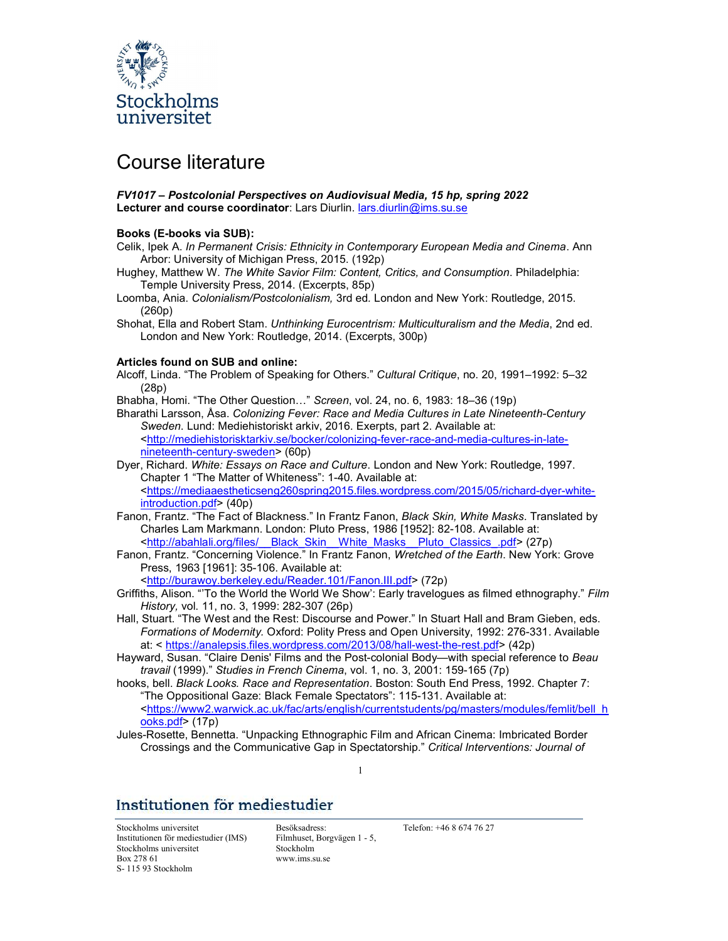

# Course literature

## FV1017 – Postcolonial Perspectives on Audiovisual Media, 15 hp, spring 2022 Lecturer and course coordinator: Lars Diurlin. lars.diurlin@ims.su.se

### Books (E-books via SUB):

- Celik, Ipek A. In Permanent Crisis: Ethnicity in Contemporary European Media and Cinema. Ann Arbor: University of Michigan Press, 2015. (192p)
- Hughey, Matthew W. The White Savior Film: Content, Critics, and Consumption. Philadelphia: Temple University Press, 2014. (Excerpts, 85p)
- Loomba, Ania. Colonialism/Postcolonialism, 3rd ed. London and New York: Routledge, 2015. (260p)
- Shohat, Ella and Robert Stam. Unthinking Eurocentrism: Multiculturalism and the Media, 2nd ed. London and New York: Routledge, 2014. (Excerpts, 300p)

### Articles found on SUB and online:

Alcoff, Linda. "The Problem of Speaking for Others." Cultural Critique, no. 20, 1991–1992: 5–32 (28p)

Bhabha, Homi. "The Other Question…" Screen, vol. 24, no. 6, 1983: 18–36 (19p)

- Bharathi Larsson, Åsa. Colonizing Fever: Race and Media Cultures in Late Nineteenth-Century Sweden. Lund: Mediehistoriskt arkiv, 2016. Exerpts, part 2. Available at: <http://mediehistorisktarkiv.se/bocker/colonizing-fever-race-and-media-cultures-in-latenineteenth-century-sweden> (60p)
- Dyer, Richard. White: Essays on Race and Culture. London and New York: Routledge, 1997. Chapter 1 "The Matter of Whiteness": 1-40. Available at: <https://mediaaestheticseng260spring2015.files.wordpress.com/2015/05/richard-dyer-whiteintroduction.pdf> (40p)
- Fanon, Frantz. "The Fact of Blackness." In Frantz Fanon, Black Skin, White Masks. Translated by Charles Lam Markmann. London: Pluto Press, 1986 [1952]: 82-108. Available at: <http://abahlali.org/files/\_\_Black\_Skin\_\_White\_Masks\_\_Pluto\_Classics\_.pdf> (27p)
- Fanon, Frantz. "Concerning Violence." In Frantz Fanon, Wretched of the Earth. New York: Grove Press, 1963 [1961]: 35-106. Available at:

<http://burawoy.berkeley.edu/Reader.101/Fanon.III.pdf> (72p)

- Griffiths, Alison. "'To the World the World We Show': Early travelogues as filmed ethnography." Film History, vol. 11, no. 3, 1999: 282-307 (26p)
- Hall, Stuart. "The West and the Rest: Discourse and Power." In Stuart Hall and Bram Gieben, eds. Formations of Modernity. Oxford: Polity Press and Open University, 1992: 276-331. Available at: < https://analepsis.files.wordpress.com/2013/08/hall-west-the-rest.pdf> (42p)
- Hayward, Susan. "Claire Denis' Films and the Post-colonial Body—with special reference to Beau travail (1999)." Studies in French Cinema, vol. 1, no. 3, 2001: 159-165 (7p)
- hooks, bell. Black Looks. Race and Representation. Boston: South End Press, 1992. Chapter 7: "The Oppositional Gaze: Black Female Spectators": 115-131. Available at: <https://www2.warwick.ac.uk/fac/arts/english/currentstudents/pg/masters/modules/femlit/bell\_h
- ooks.pdf> (17p) Jules-Rosette, Bennetta. "Unpacking Ethnographic Film and African Cinema: Imbricated Border Crossings and the Communicative Gap in Spectatorship." Critical Interventions: Journal of

1

## Institutionen för mediestudier

Stockholms universitet Besöksadress: Telefon: +46 8 674 76 27 Institutionen för mediestudier (IMS) Stockholms universitet Box 278 61 S- 115 93 Stockholm

Filmhuset, Borgvägen 1 - 5, Stockholm www.ims.su.se